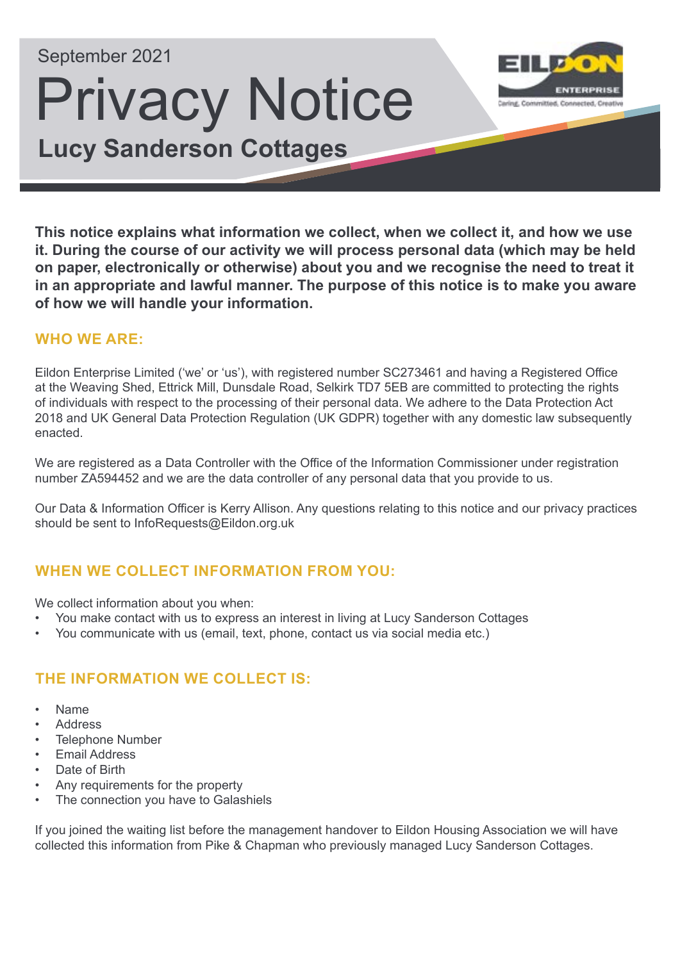# September 2021

# Privacy Notice **Lucy Sanderson Cottages**



**This notice explains what information we collect, when we collect it, and how we use it. During the course of our activity we will process personal data (which may be held on paper, electronically or otherwise) about you and we recognise the need to treat it in an appropriate and lawful manner. The purpose of this notice is to make you aware of how we will handle your information.** 

#### **WHO WE ARE:**

Eildon Enterprise Limited ('we' or 'us'), with registered number SC273461 and having a Registered Office at the Weaving Shed, Ettrick Mill, Dunsdale Road, Selkirk TD7 5EB are committed to protecting the rights of individuals with respect to the processing of their personal data. We adhere to the Data Protection Act 2018 and UK General Data Protection Regulation (UK GDPR) together with any domestic law subsequently enacted.

We are registered as a Data Controller with the Office of the Information Commissioner under registration number ZA594452 and we are the data controller of any personal data that you provide to us.

Our Data & Information Officer is Kerry Allison. Any questions relating to this notice and our privacy practices should be sent to InfoRequests@Eildon.org.uk

# **WHEN WE COLLECT INFORMATION FROM YOU:**

We collect information about you when:

- You make contact with us to express an interest in living at Lucy Sanderson Cottages
- You communicate with us (email, text, phone, contact us via social media etc.)

# **THE INFORMATION WE COLLECT IS:**

- Name
- **Address**
- Telephone Number
- **Email Address**
- Date of Birth
- Any requirements for the property
- The connection you have to Galashiels

If you joined the waiting list before the management handover to Eildon Housing Association we will have collected this information from Pike & Chapman who previously managed Lucy Sanderson Cottages.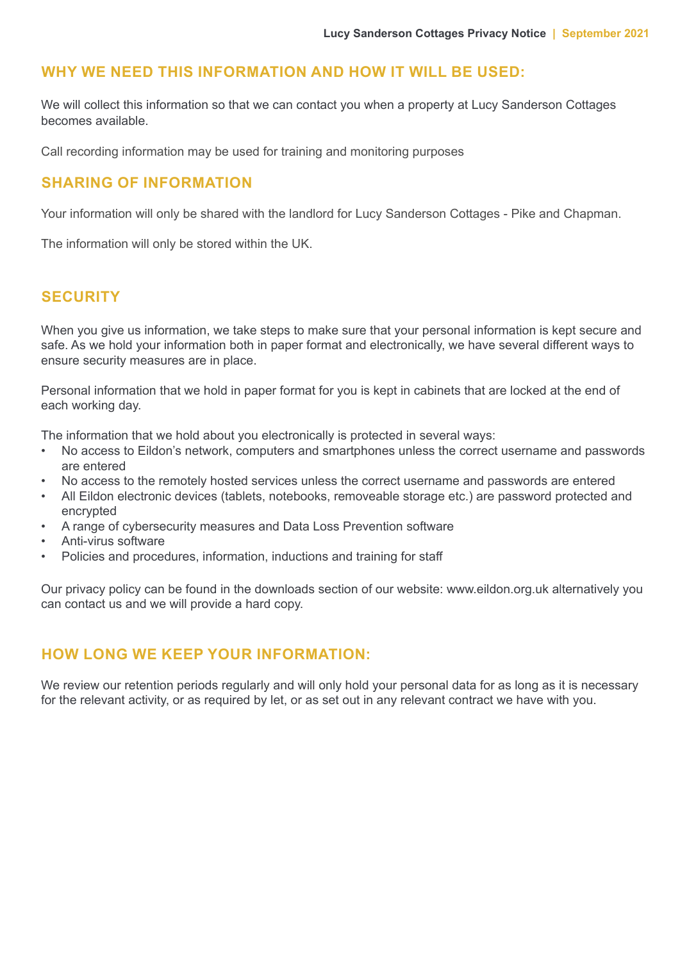#### **WHY WE NEED THIS INFORMATION AND HOW IT WILL BE USED:**

We will collect this information so that we can contact you when a property at Lucy Sanderson Cottages becomes available.

Call recording information may be used for training and monitoring purposes

#### **SHARING OF INFORMATION**

Your information will only be shared with the landlord for Lucy Sanderson Cottages - Pike and Chapman.

The information will only be stored within the UK.

#### **SECURITY**

When you give us information, we take steps to make sure that your personal information is kept secure and safe. As we hold your information both in paper format and electronically, we have several different ways to ensure security measures are in place.

Personal information that we hold in paper format for you is kept in cabinets that are locked at the end of each working day.

The information that we hold about you electronically is protected in several ways:

- No access to Eildon's network, computers and smartphones unless the correct username and passwords are entered
- No access to the remotely hosted services unless the correct username and passwords are entered
- All Eildon electronic devices (tablets, notebooks, removeable storage etc.) are password protected and encrypted
- A range of cybersecurity measures and Data Loss Prevention software
- Anti-virus software
- Policies and procedures, information, inductions and training for staff

Our privacy policy can be found in the downloads section of our website: www.eildon.org.uk alternatively you can contact us and we will provide a hard copy.

#### **HOW LONG WE KEEP YOUR INFORMATION:**

We review our retention periods regularly and will only hold your personal data for as long as it is necessary for the relevant activity, or as required by let, or as set out in any relevant contract we have with you.